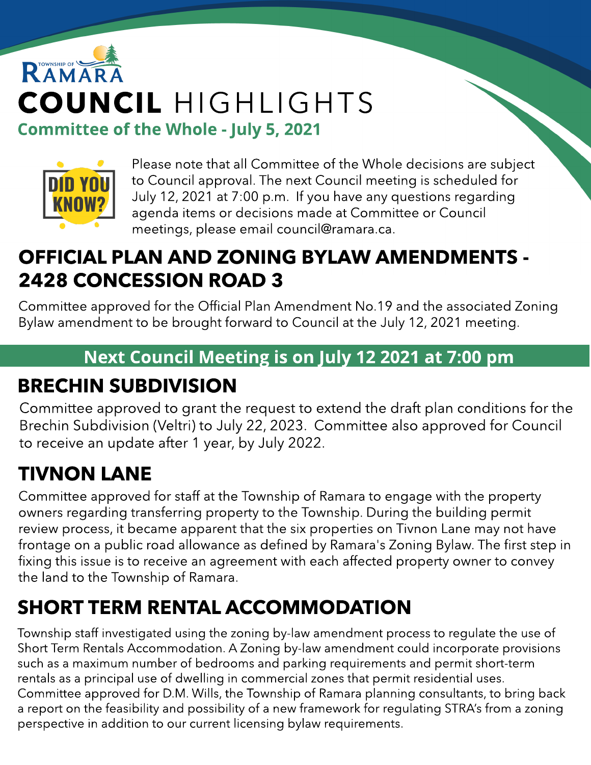# RAMAR COUNCIL HIGHLIGHTS Committee of the Whole - July 5, 2021



Please note that all Committee of the Whole decisions are subject to Council approval. The next Council meeting is scheduled for July 12, 2021 at 7:00 p.m. If you have any questions regarding agenda items or decisions made at Committee or Council meetings, please email council@ramara.ca.

#### OFFICIAL PLAN AND ZONING BYLAW AMENDMENTS - 2428 CONCESSION ROAD 3

Committee approved for the Official Plan Amendment No.19 and the associated Zoning Bylaw amendment to be brought forward to Council at the July 12, 2021 meeting.

#### Next Council Meeting is on July 12 2021 at 7:00 pm

## BRECHIN SUBDIVISION

Committee approved to grant the request to extend the draft plan conditions for the Brechin Subdivision (Veltri) to July 22, 2023. Committee also approved for Council to receive an update after 1 year, by July 2022.

# TIVNON LANE

Committee approved for staff at the Township of Ramara to engage with the property owners regarding transferring property to the Township. During the building permit review process, it became apparent that the six properties on Tivnon Lane may not have frontage on a public road allowance as defined by Ramara's Zoning Bylaw. The first step in fixing this issue is to receive an agreement with each affected property owner to convey the land to the Township of Ramara.

# SHORT TERM RENTAL ACCOMMODATION

Township staff investigated using the zoning by-law amendment process to regulate the use of Short Term Rentals Accommodation. A Zoning by-law amendment could incorporate provisions such as a maximum number of bedrooms and parking requirements and permit short-term rentals as a principal use of dwelling in commercial zones that permit residential uses. Committee approved for D.M. Wills, the Township of Ramara planning consultants, to bring back a report on the feasibility and possibility of a new framework for regulating STRA's from a zoning perspective in addition to our current licensing bylaw requirements.